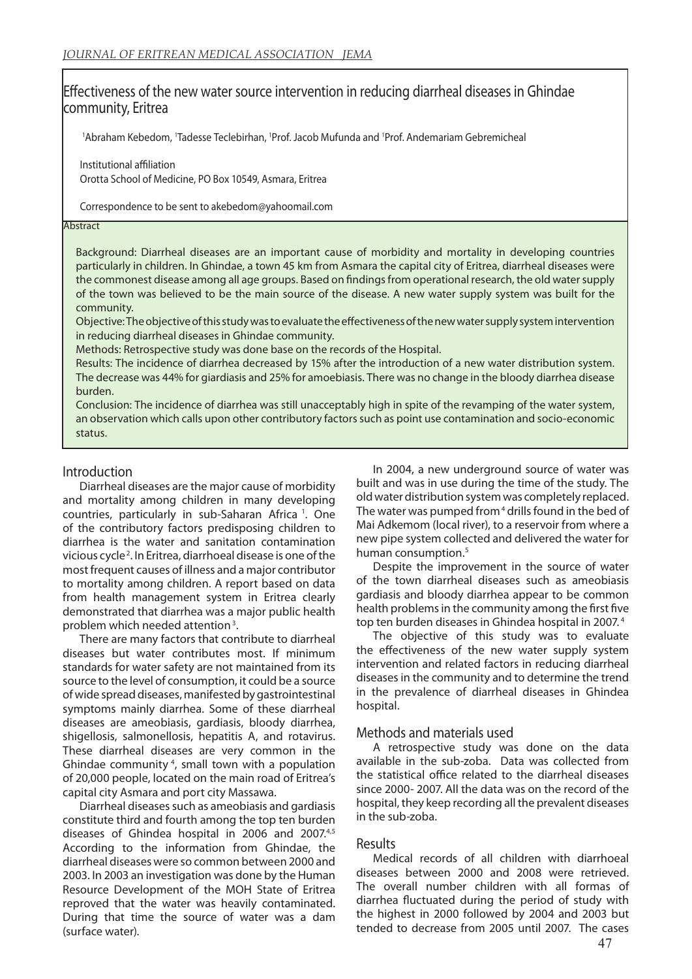# Effectiveness of the new water source intervention in reducing diarrheal diseases in Ghindae community, Eritrea

<sup>1</sup>Abraham Kebedom, <sup>1</sup>Tadesse Teclebirhan, <sup>1</sup>Prof. Jacob Mufunda and <sup>1</sup>Prof. Andemariam Gebremicheal

Institutional affiliation Orotta School of Medicine, PO Box 10549, Asmara, Eritrea

Correspondence to be sent to akebedom@yahoomail.com

#### **Abstract**

Background: Diarrheal diseases are an important cause of morbidity and mortality in developing countries particularly in children. In Ghindae, a town 45 km from Asmara the capital city of Eritrea, diarrheal diseases were the commonest disease among all age groups. Based on findings from operational research, the old water supply of the town was believed to be the main source of the disease. A new water supply system was built for the community.

Objective: The objective of this study was to evaluate the effectiveness of the new water supply system intervention in reducing diarrheal diseases in Ghindae community.

Methods: Retrospective study was done base on the records of the Hospital.

Results: The incidence of diarrhea decreased by 15% after the introduction of a new water distribution system. The decrease was 44% for giardiasis and 25% for amoebiasis. There was no change in the bloody diarrhea disease burden.

Conclusion: The incidence of diarrhea was still unacceptably high in spite of the revamping of the water system, an observation which calls upon other contributory factors such as point use contamination and socio-economic status.

# Introduction

Diarrheal diseases are the major cause of morbidity and mortality among children in many developing countries, particularly in sub-Saharan Africa<sup>1</sup>. One of the contributory factors predisposing children to diarrhea is the water and sanitation contamination vicious cycle 2. In Eritrea, diarrhoeal disease is one of the most frequent causes of illness and a major contributor to mortality among children. A report based on data from health management system in Eritrea clearly demonstrated that diarrhea was a major public health problem which needed attention 3.

There are many factors that contribute to diarrheal diseases but water contributes most. If minimum standards for water safety are not maintained from its source to the level of consumption, it could be a source of wide spread diseases, manifested by gastrointestinal symptoms mainly diarrhea. Some of these diarrheal diseases are ameobiasis, gardiasis, bloody diarrhea, shigellosis, salmonellosis, hepatitis A, and rotavirus. These diarrheal diseases are very common in the Ghindae community 4, small town with a population of 20,000 people, located on the main road of Eritrea's capital city Asmara and port city Massawa.

Diarrheal diseases such as ameobiasis and gardiasis constitute third and fourth among the top ten burden diseases of Ghindea hospital in 2006 and 2007.<sup>4,5</sup> According to the information from Ghindae, the diarrheal diseases were so common between 2000 and 2003. In 2003 an investigation was done by the Human Resource Development of the MOH State of Eritrea reproved that the water was heavily contaminated. During that time the source of water was a dam (surface water).

In 2004, a new underground source of water was built and was in use during the time of the study. The old water distribution system was completely replaced. The water was pumped from<sup>4</sup> drills found in the bed of Mai Adkemom (local river), to a reservoir from where a new pipe system collected and delivered the water for human consumption.<sup>5</sup>

Despite the improvement in the source of water of the town diarrheal diseases such as ameobiasis gardiasis and bloody diarrhea appear to be common health problems in the community among the first five top ten burden diseases in Ghindea hospital in 2007.<sup>4</sup>

The objective of this study was to evaluate the effectiveness of the new water supply system intervention and related factors in reducing diarrheal diseases in the community and to determine the trend in the prevalence of diarrheal diseases in Ghindea hospital.

# Methods and materials used

A retrospective study was done on the data available in the sub-zoba. Data was collected from the statistical office related to the diarrheal diseases since 2000- 2007. All the data was on the record of the hospital, they keep recording all the prevalent diseases in the sub-zoba.

# Results

Medical records of all children with diarrhoeal diseases between 2000 and 2008 were retrieved. The overall number children with all formas of diarrhea fluctuated during the period of study with the highest in 2000 followed by 2004 and 2003 but tended to decrease from 2005 until 2007. The cases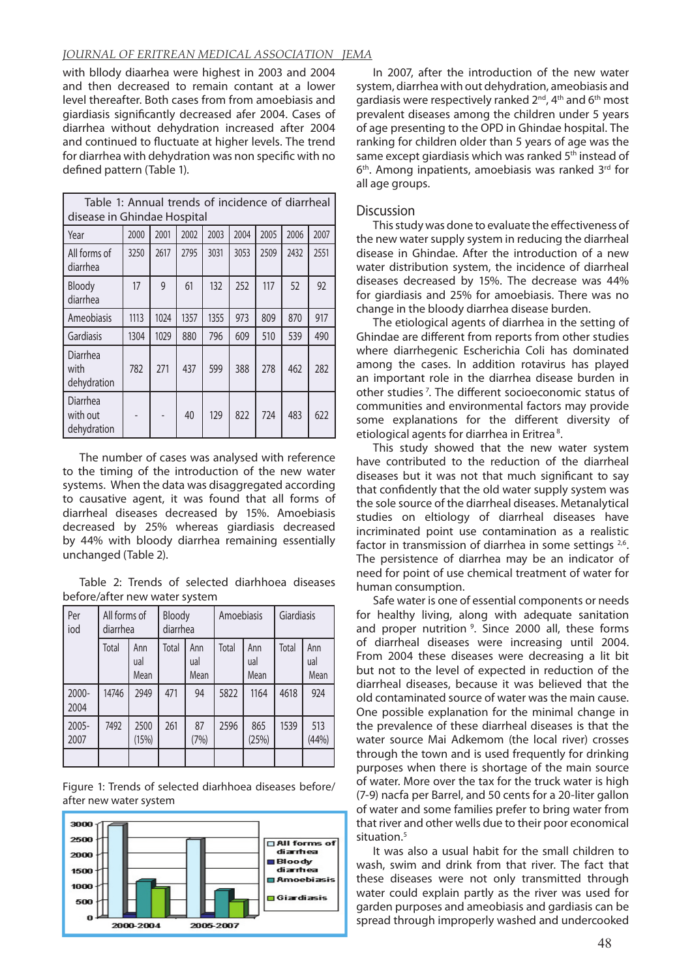## *JOURNAL OF ERITREAN MEDICAL ASSOCIATION JEMA*

with bllody diaarhea were highest in 2003 and 2004 and then decreased to remain contant at a lower level thereafter. Both cases from from amoebiasis and giardiasis significantly decreased afer 2004. Cases of diarrhea without dehydration increased after 2004 and continued to fluctuate at higher levels. The trend for diarrhea with dehydration was non specific with no defined pattern (Table 1).

| Table 1: Annual trends of incidence of diarrheal<br>disease in Ghindae Hospital |      |      |      |      |      |      |      |      |  |  |  |
|---------------------------------------------------------------------------------|------|------|------|------|------|------|------|------|--|--|--|
| Year                                                                            | 2000 | 2001 | 2002 | 2003 | 2004 | 2005 | 2006 | 2007 |  |  |  |
| All forms of<br>diarrhea                                                        | 3250 | 2617 | 2795 | 3031 | 3053 | 2509 | 2432 | 2551 |  |  |  |
| Bloody<br>diarrhea                                                              | 17   | 9    | 61   | 132  | 252  | 117  | 52   | 92   |  |  |  |
| Ameobiasis                                                                      | 1113 | 1024 | 1357 | 1355 | 973  | 809  | 870  | 917  |  |  |  |
| Gardiasis                                                                       | 1304 | 1029 | 880  | 796  | 609  | 510  | 539  | 490  |  |  |  |
| Diarrhea<br>with<br>dehydration                                                 | 782  | 271  | 437  | 599  | 388  | 278  | 462  | 282  |  |  |  |
| Diarrhea<br>with out<br>dehydration                                             |      |      | 40   | 129  | 822  | 724  | 483  | 622  |  |  |  |

The number of cases was analysed with reference to the timing of the introduction of the new water systems. When the data was disaggregated according to causative agent, it was found that all forms of diarrheal diseases decreased by 15%. Amoebiasis decreased by 25% whereas giardiasis decreased by 44% with bloody diarrhea remaining essentially unchanged (Table 2).

Table 2: Trends of selected diarhhoea diseases before/after new water system

| Per<br>iod       | All forms of<br>diarrhea |                    | Bloody<br>diarrhea |                    | Amoebiasis |                    | Giardiasis |                    |
|------------------|--------------------------|--------------------|--------------------|--------------------|------------|--------------------|------------|--------------------|
|                  | Total                    | Ann<br>ual<br>Mean | Total              | Ann<br>ual<br>Mean | Total      | Ann<br>ual<br>Mean | Total      | Ann<br>ual<br>Mean |
| $2000 -$<br>2004 | 14746                    | 2949               | 471                | 94                 | 5822       | 1164               | 4618       | 924                |
| 2005-<br>2007    | 7492                     | 2500<br>(15%)      | 261                | 87<br>(7%)         | 2596       | 865<br>(25%)       | 1539       | 513<br>(44%)       |
|                  |                          |                    |                    |                    |            |                    |            |                    |

Figure 1: Trends of selected diarhhoea diseases before/ after new water system



In 2007, after the introduction of the new water system, diarrhea with out dehydration, ameobiasis and gardiasis were respectively ranked 2<sup>nd</sup>, 4<sup>th</sup> and 6<sup>th</sup> most prevalent diseases among the children under 5 years of age presenting to the OPD in Ghindae hospital. The ranking for children older than 5 years of age was the same except giardiasis which was ranked 5<sup>th</sup> instead of 6<sup>th</sup>. Among inpatients, amoebiasis was ranked 3<sup>rd</sup> for all age groups.

### **Discussion**

This study was done to evaluate the effectiveness of the new water supply system in reducing the diarrheal disease in Ghindae. After the introduction of a new water distribution system, the incidence of diarrheal diseases decreased by 15%. The decrease was 44% for giardiasis and 25% for amoebiasis. There was no change in the bloody diarrhea disease burden.

The etiological agents of diarrhea in the setting of Ghindae are different from reports from other studies where diarrhegenic Escherichia Coli has dominated among the cases. In addition rotavirus has played an important role in the diarrhea disease burden in other studies 7. The different socioeconomic status of communities and environmental factors may provide some explanations for the different diversity of etiological agents for diarrhea in Eritrea<sup>8</sup>.

This study showed that the new water system have contributed to the reduction of the diarrheal diseases but it was not that much significant to say that confidently that the old water supply system was the sole source of the diarrheal diseases. Metanalytical studies on eltiology of diarrheal diseases have incriminated point use contamination as a realistic factor in transmission of diarrhea in some settings 2,6. The persistence of diarrhea may be an indicator of need for point of use chemical treatment of water for human consumption.

Safe water is one of essential components or needs for healthy living, along with adequate sanitation and proper nutrition<sup>9</sup>. Since 2000 all, these forms of diarrheal diseases were increasing until 2004. From 2004 these diseases were decreasing a lit bit but not to the level of expected in reduction of the diarrheal diseases, because it was believed that the old contaminated source of water was the main cause. One possible explanation for the minimal change in the prevalence of these diarrheal diseases is that the water source Mai Adkemom (the local river) crosses through the town and is used frequently for drinking purposes when there is shortage of the main source of water. More over the tax for the truck water is high (7-9) nacfa per Barrel, and 50 cents for a 20-liter gallon of water and some families prefer to bring water from that river and other wells due to their poor economical situation.<sup>5</sup>

It was also a usual habit for the small children to wash, swim and drink from that river. The fact that these diseases were not only transmitted through water could explain partly as the river was used for garden purposes and ameobiasis and gardiasis can be spread through improperly washed and undercooked